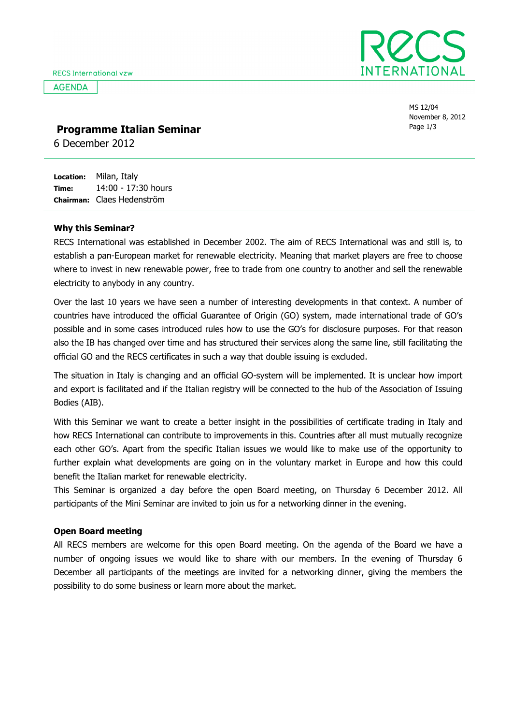**AGENDA** 



MS 12/04 November 8, 2012

### **Programme Italian Seminar** and the seminar and the seminar seminar and the seminar seminar seminar seminar seminar seminar seminar seminar seminar seminar seminar seminar seminar seminar seminar seminar seminar seminar se

6 December 2012

Location: Time: Chairman: Claes Hedenström Milan, Italy 14:00 - 17:30 hours

#### Why this Seminar?

RECS International was established in December 2002. The aim of RECS International was and still is, to establish a pan-European market for renewable electricity. Meaning that market players are free to choose where to invest in new renewable power, free to trade from one country to another and sell the renewable electricity to anybody in any country.

Over the last 10 years we have seen a number of interesting developments in that context. A number of countries have introduced the official Guarantee of Origin (GO) system, made international trade of GO's possible and in some cases introduced rules how to use the GO's for disclosure purposes. For that reason also the IB has changed over time and has structured their services along the same line, still facilitating the official GO and the RECS certificates in such a way that double issuing is excluded.

The situation in Italy is changing and an official GO-system will be implemented. It is unclear how import and export is facilitated and if the Italian registry will be connected to the hub of the Association of Issuing Bodies (AIB).

With this Seminar we want to create a better insight in the possibilities of certificate trading in Italy and how RECS International can contribute to improvements in this. Countries after all must mutually recognize each other GO's. Apart from the specific Italian issues we would like to make use of the opportunity to further explain what developments are going on in the voluntary market in Europe and how this could benefit the Italian market for renewable electricity.

This Seminar is organized a day before the open Board meeting, on Thursday 6 December 2012. All participants of the Mini Seminar are invited to join us for a networking dinner in the evening.

### Open Board meeting

All RECS members are welcome for this open Board meeting. On the agenda of the Board we have a number of ongoing issues we would like to share with our members. In the evening of Thursday 6 December all participants of the meetings are invited for a networking dinner, giving the members the possibility to do some business or learn more about the market.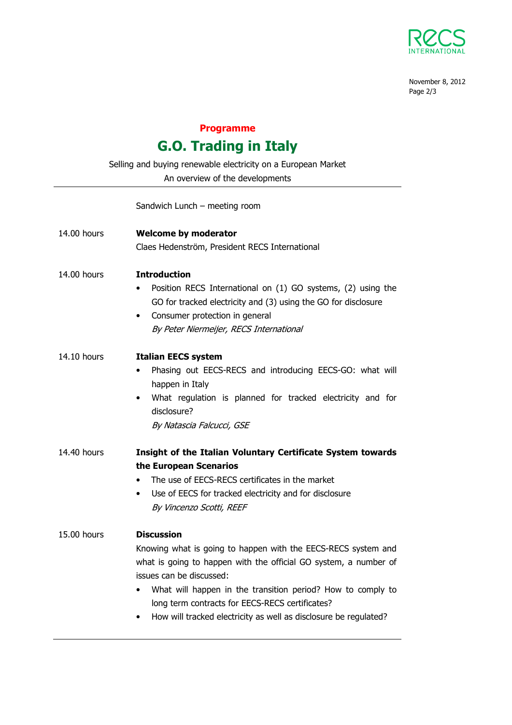

November 8, 2012 Page 2/3

## Programme

# G.O. Trading in Italy

Selling and buying renewable electricity on a European Market

An overview of the developments

### Sandwich Lunch – meeting room

| 14.00 hours | <b>Welcome by moderator</b>                                              |
|-------------|--------------------------------------------------------------------------|
|             | Claes Hedenström, President RECS International                           |
| 14.00 hours | <b>Introduction</b>                                                      |
|             | Position RECS International on (1) GO systems, (2) using the             |
|             | GO for tracked electricity and (3) using the GO for disclosure           |
|             | Consumer protection in general<br>٠                                      |
|             | By Peter Niermeijer, RECS International                                  |
| 14.10 hours | <b>Italian EECS system</b>                                               |
|             | Phasing out EECS-RECS and introducing EECS-GO: what will<br>٠            |
|             | happen in Italy                                                          |
|             | What regulation is planned for tracked electricity and for<br>$\bullet$  |
|             | disclosure?                                                              |
|             | By Natascia Falcucci, GSE                                                |
| 14.40 hours | Insight of the Italian Voluntary Certificate System towards              |
|             | the European Scenarios                                                   |
|             | The use of EECS-RECS certificates in the market<br>$\bullet$             |
|             | Use of EECS for tracked electricity and for disclosure<br>$\bullet$      |
|             | By Vincenzo Scotti, REEF                                                 |
| 15.00 hours | <b>Discussion</b>                                                        |
|             | Knowing what is going to happen with the EECS-RECS system and            |
|             | what is going to happen with the official GO system, a number of         |
|             | issues can be discussed:                                                 |
|             | What will happen in the transition period? How to comply to<br>$\bullet$ |
|             | long term contracts for EECS-RECS certificates?                          |
|             | How will tracked electricity as well as disclosure be regulated?<br>٠    |